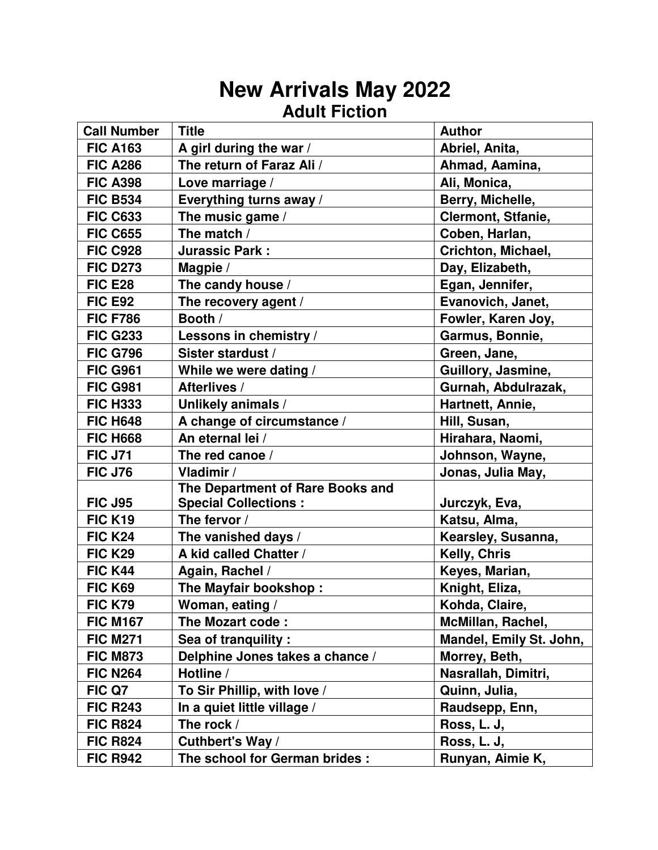### **New Arrivals May 2022 Adult Fiction**

| <b>Call Number</b> | <b>Title</b>                     | <b>Author</b>           |
|--------------------|----------------------------------|-------------------------|
| <b>FIC A163</b>    | A girl during the war /          | Abriel, Anita,          |
| <b>FIC A286</b>    | The return of Faraz Ali /        | Ahmad, Aamina,          |
| <b>FIC A398</b>    | Love marriage /                  | Ali, Monica,            |
| <b>FIC B534</b>    | Everything turns away /          | Berry, Michelle,        |
| <b>FIC C633</b>    | The music game /                 | Clermont, Stfanie,      |
| <b>FIC C655</b>    | The match /                      | Coben, Harlan,          |
| <b>FIC C928</b>    | <b>Jurassic Park:</b>            | Crichton, Michael,      |
| <b>FIC D273</b>    | Magpie /                         | Day, Elizabeth,         |
| <b>FIC E28</b>     | The candy house /                | Egan, Jennifer,         |
| <b>FIC E92</b>     | The recovery agent /             | Evanovich, Janet,       |
| <b>FIC F786</b>    | Booth /                          | Fowler, Karen Joy,      |
| <b>FIC G233</b>    | Lessons in chemistry /           | Garmus, Bonnie,         |
| <b>FIC G796</b>    | Sister stardust /                | Green, Jane,            |
| <b>FIC G961</b>    | While we were dating /           | Guillory, Jasmine,      |
| <b>FIC G981</b>    | Afterlives /                     | Gurnah, Abdulrazak,     |
| <b>FIC H333</b>    | Unlikely animals /               | Hartnett, Annie,        |
| <b>FIC H648</b>    | A change of circumstance /       | Hill, Susan,            |
| <b>FIC H668</b>    | An eternal lei /                 | Hirahara, Naomi,        |
| <b>FIC J71</b>     | The red canoe /                  | Johnson, Wayne,         |
| <b>FIC J76</b>     | Vladimir /                       | Jonas, Julia May,       |
|                    | The Department of Rare Books and |                         |
| <b>FIC J95</b>     | <b>Special Collections:</b>      | Jurczyk, Eva,           |
| <b>FIC K19</b>     | The fervor /                     | Katsu, Alma,            |
| <b>FIC K24</b>     | The vanished days /              | Kearsley, Susanna,      |
| <b>FIC K29</b>     | A kid called Chatter /           | Kelly, Chris            |
| <b>FIC K44</b>     | Again, Rachel /                  | Keyes, Marian,          |
| <b>FIC K69</b>     | The Mayfair bookshop:            | Knight, Eliza,          |
| <b>FIC K79</b>     | Woman, eating /                  | Kohda, Claire,          |
| <b>FIC M167</b>    | The Mozart code:                 | McMillan, Rachel,       |
| <b>FIC M271</b>    | Sea of tranquility:              | Mandel, Emily St. John, |
| <b>FIC M873</b>    | Delphine Jones takes a chance /  | Morrey, Beth,           |
| <b>FIC N264</b>    | Hotline /                        | Nasrallah, Dimitri,     |
| FIC Q7             | To Sir Phillip, with love /      | Quinn, Julia,           |
| <b>FIC R243</b>    | In a quiet little village /      | Raudsepp, Enn,          |
| <b>FIC R824</b>    | The rock /                       | Ross, L. J,             |
| <b>FIC R824</b>    | Cuthbert's Way /                 | Ross, L. J,             |
| <b>FIC R942</b>    | The school for German brides:    | Runyan, Aimie K,        |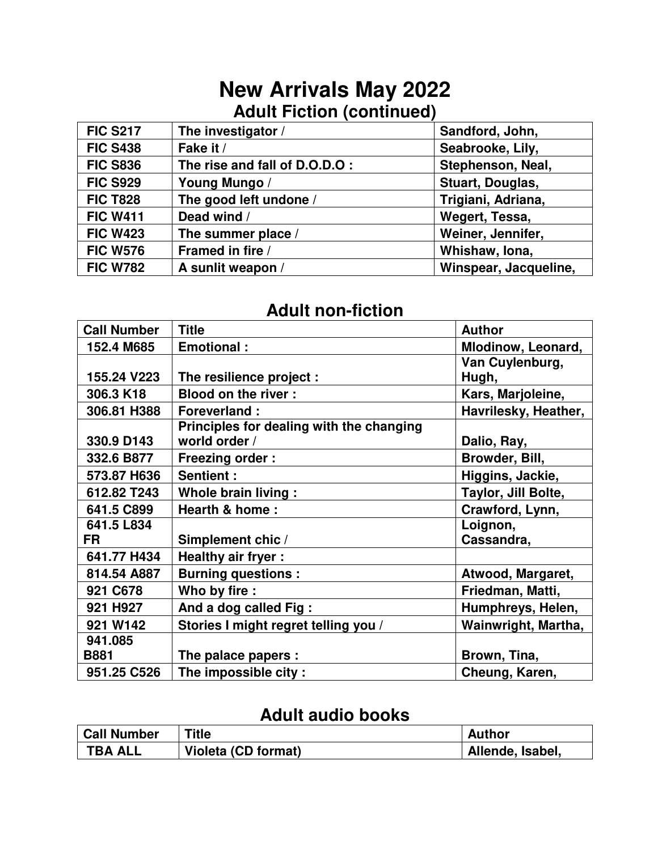# **New Arrivals May 2022 Adult Fiction (continued)**

| <b>FIC S217</b> | The investigator /            | Sandford, John,       |
|-----------------|-------------------------------|-----------------------|
| <b>FIC S438</b> | Fake it /                     | Seabrooke, Lily,      |
| <b>FIC S836</b> | The rise and fall of D.O.D.O: | Stephenson, Neal,     |
| <b>FIC S929</b> | Young Mungo /                 | Stuart, Douglas,      |
| <b>FIC T828</b> | The good left undone /        | Trigiani, Adriana,    |
| <b>FIC W411</b> | Dead wind /                   | Wegert, Tessa,        |
| <b>FIC W423</b> | The summer place /            | Weiner, Jennifer,     |
| <b>FIC W576</b> | Framed in fire /              | Whishaw, Iona,        |
| <b>FIC W782</b> | A sunlit weapon /             | Winspear, Jacqueline, |

### **Adult non-fiction**

| <b>Call Number</b> | <b>Title</b>                             | <b>Author</b>        |
|--------------------|------------------------------------------|----------------------|
| 152.4 M685         | <b>Emotional:</b>                        | Mlodinow, Leonard,   |
|                    |                                          | Van Cuylenburg,      |
| 155.24 V223        | The resilience project :                 | Hugh,                |
| 306.3 K18          | <b>Blood on the river:</b>               | Kars, Marjoleine,    |
| 306.81 H388        | <b>Foreverland:</b>                      | Havrilesky, Heather, |
|                    | Principles for dealing with the changing |                      |
| 330.9 D143         | world order /                            | Dalio, Ray,          |
| 332.6 B877         | <b>Freezing order:</b>                   | Browder, Bill,       |
| 573.87 H636        | Sentient:                                | Higgins, Jackie,     |
| 612.82 T243        | Whole brain living :                     | Taylor, Jill Bolte,  |
| 641.5 C899         | Hearth & home:                           | Crawford, Lynn,      |
| 641.5 L834         |                                          | Loignon,             |
| FR                 | Simplement chic /                        | Cassandra,           |
| 641.77 H434        | Healthy air fryer :                      |                      |
| 814.54 A887        | <b>Burning questions:</b>                | Atwood, Margaret,    |
| 921 C678           | Who by fire :                            | Friedman, Matti,     |
| 921 H927           | And a dog called Fig:                    | Humphreys, Helen,    |
| 921 W142           | Stories I might regret telling you /     | Wainwright, Martha,  |
| 941.085            |                                          |                      |
| <b>B881</b>        | The palace papers :                      | Brown, Tina,         |
| 951.25 C526        | The impossible city:                     | Cheung, Karen,       |

#### **Adult audio books**

| <b>Call Number</b> | Title               | Author           |
|--------------------|---------------------|------------------|
| <b>TBA ALL</b>     | Violeta (CD format) | Allende, Isabel, |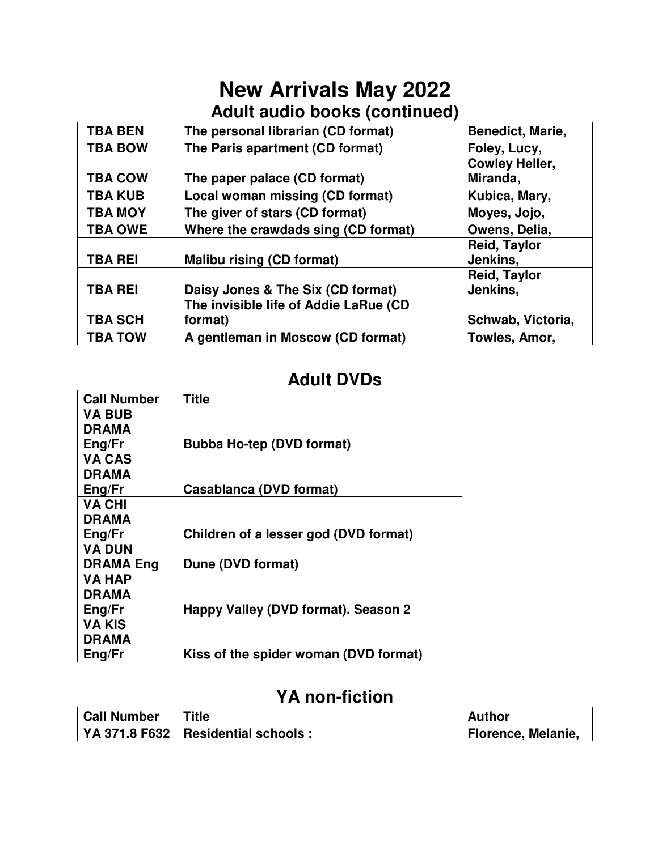## **New Arrivals May 2022 Adult audio books (continued)**

| <b>TBA BEN</b> | The personal librarian (CD format)     | Benedict, Marie,                  |
|----------------|----------------------------------------|-----------------------------------|
| <b>TBA BOW</b> | The Paris apartment (CD format)        | Foley, Lucy,                      |
| <b>TBA COW</b> | The paper palace (CD format)           | <b>Cowley Heller,</b><br>Miranda, |
| <b>TBA KUB</b> | <b>Local woman missing (CD format)</b> | Kubica, Mary,                     |
| <b>TBA MOY</b> | The giver of stars (CD format)         | Moyes, Jojo,                      |
| <b>TBA OWE</b> | Where the crawdads sing (CD format)    | Owens, Delia,                     |
| <b>TBA REI</b> | <b>Malibu rising (CD format)</b>       | <b>Reid, Taylor</b><br>Jenkins,   |
|                |                                        | <b>Reid, Taylor</b>               |
| <b>TBA REI</b> | Daisy Jones & The Six (CD format)      | Jenkins.                          |
|                | The invisible life of Addie LaRue (CD  |                                   |
| <b>TBA SCH</b> | format)                                | Schwab, Victoria,                 |
| <b>TBA TOW</b> | A gentleman in Moscow (CD format)      | Towles, Amor,                     |

#### **Adult DVDs**

| <b>Call Number</b> | <b>Title</b>                          |
|--------------------|---------------------------------------|
| <b>VA BUB</b>      |                                       |
| <b>DRAMA</b>       |                                       |
| Eng/Fr             | <b>Bubba Ho-tep (DVD format)</b>      |
| <b>VA CAS</b>      |                                       |
| <b>DRAMA</b>       |                                       |
| Eng/Fr             | Casablanca (DVD format)               |
| <b>VA CHI</b>      |                                       |
| <b>DRAMA</b>       |                                       |
| Eng/Fr             | Children of a lesser god (DVD format) |
| <b>VA DUN</b>      |                                       |
| <b>DRAMA Eng</b>   | Dune (DVD format)                     |
| <b>VA HAP</b>      |                                       |
| <b>DRAMA</b>       |                                       |
| Eng/Fr             | Happy Valley (DVD format). Season 2   |
| <b>VA KIS</b>      |                                       |
| <b>DRAMA</b>       |                                       |
| Eng/Fr             | Kiss of the spider woman (DVD format) |
|                    |                                       |

## **YA non-fiction**

| <b>Call Number</b> | <b>Title</b>                         | <b>Author</b>      |
|--------------------|--------------------------------------|--------------------|
|                    | YA 371.8 F632   Residential schools: | Florence, Melanie, |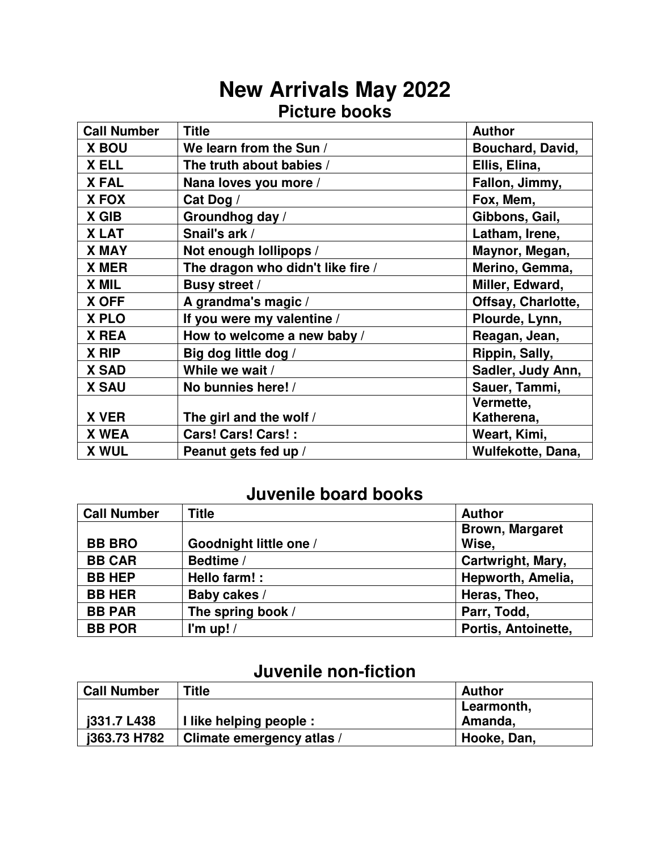# **New Arrivals May 2022 Picture books**

| <b>Call Number</b> | <b>Title</b>                      | <b>Author</b>           |
|--------------------|-----------------------------------|-------------------------|
| <b>X BOU</b>       | We learn from the Sun /           | <b>Bouchard, David,</b> |
| X ELL              | The truth about babies /          | Ellis, Elina,           |
| <b>XFAL</b>        | Nana loves you more /             | Fallon, Jimmy,          |
| X FOX              | Cat Dog /                         | Fox, Mem,               |
| X GIB              | Groundhog day /                   | Gibbons, Gail,          |
| <b>XLAT</b>        | Snail's ark /                     | Latham, Irene,          |
| <b>X MAY</b>       | Not enough lollipops /            | Maynor, Megan,          |
| X MER              | The dragon who didn't like fire / | Merino, Gemma,          |
| X MIL              | <b>Busy street /</b>              | Miller, Edward,         |
| X OFF              | A grandma's magic /               | Offsay, Charlotte,      |
| X PLO              | If you were my valentine /        | Plourde, Lynn,          |
| X REA              | How to welcome a new baby /       | Reagan, Jean,           |
| X RIP              | Big dog little dog /              | Rippin, Sally,          |
| <b>X SAD</b>       | While we wait /                   | Sadler, Judy Ann,       |
| <b>X SAU</b>       | No bunnies here! /                | Sauer, Tammi,           |
|                    |                                   | Vermette,               |
| <b>X VER</b>       | The girl and the wolf /           | Katherena,              |
| X WEA              | Cars! Cars! Cars! :               | Weart, Kimi,            |
| <b>X WUL</b>       | Peanut gets fed up /              | Wulfekotte, Dana,       |

### **Juvenile board books**

| <b>Call Number</b> | <b>Title</b>           | <b>Author</b>          |
|--------------------|------------------------|------------------------|
|                    |                        | <b>Brown, Margaret</b> |
| <b>BB BRO</b>      | Goodnight little one / | Wise,                  |
| <b>BB CAR</b>      | Bedtime /              | Cartwright, Mary,      |
| <b>BB HEP</b>      | Hello farm! :          | Hepworth, Amelia,      |
| <b>BB HER</b>      | Baby cakes /           | Heras, Theo,           |
| <b>BB PAR</b>      | The spring book /      | Parr, Todd,            |
| <b>BB POR</b>      | I'm up! $/$            | Portis, Antoinette,    |

### **Juvenile non-fiction**

| <b>Call Number</b> | <b>Title</b>              | <b>Author</b> |
|--------------------|---------------------------|---------------|
|                    |                           | Learmonth,    |
| i331.7 L438        | I like helping people :   | Amanda,       |
| i363.73 H782       | Climate emergency atlas / | Hooke, Dan,   |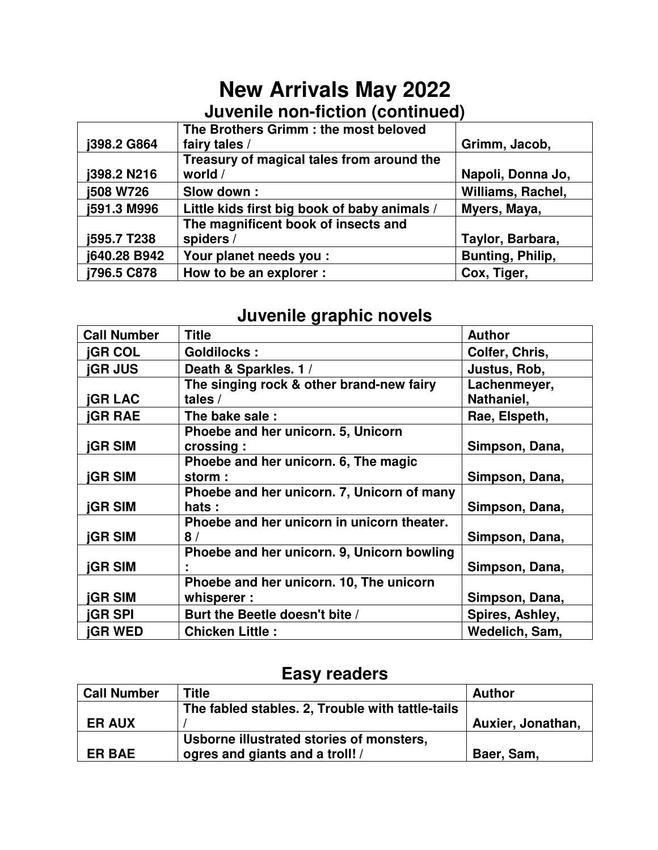# **New Arrivals May 2022 Juvenile non-fiction (continued)**

|                  | The Brothers Grimm : the most beloved        |                   |
|------------------|----------------------------------------------|-------------------|
| j398.2 G864      | fairy tales /                                | Grimm, Jacob,     |
|                  | Treasury of magical tales from around the    |                   |
| j398.2 N216      | world /                                      | Napoli, Donna Jo, |
| <b>j508 W726</b> | Slow down:                                   | Williams, Rachel, |
| j591.3 M996      | Little kids first big book of baby animals / | Myers, Maya,      |
|                  | The magnificent book of insects and          |                   |
| j595.7 T238      | spiders /                                    | Taylor, Barbara,  |
| j640.28 B942     | Your planet needs you :                      | Bunting, Philip,  |
| j796.5 C878      | How to be an explorer :                      | Cox, Tiger,       |

### **Juvenile graphic novels**

| <b>Call Number</b>                  | <b>Title</b>                               | <b>Author</b>   |
|-------------------------------------|--------------------------------------------|-----------------|
| <b>jGR COL</b>                      | <b>Goldilocks:</b>                         | Colfer, Chris,  |
| <b><i><u><b>IGR JUS</b></u></i></b> | Death & Sparkles. 1 /                      | Justus, Rob,    |
|                                     | The singing rock & other brand-new fairy   | Lachenmeyer,    |
| <b>jGR LAC</b>                      | tales $/$                                  | Nathaniel,      |
| <b><i><u><b>IGR RAE</b></u></i></b> | The bake sale:                             | Rae, Elspeth,   |
|                                     | Phoebe and her unicorn. 5, Unicorn         |                 |
| <b>jGR SIM</b>                      | crossing:                                  | Simpson, Dana,  |
|                                     | Phoebe and her unicorn. 6, The magic       |                 |
| <b><i><u><b>IGR SIM</b></u></i></b> | storm:                                     | Simpson, Dana,  |
|                                     | Phoebe and her unicorn. 7, Unicorn of many |                 |
| <b>jGR SIM</b>                      | hats:                                      | Simpson, Dana,  |
|                                     | Phoebe and her unicorn in unicorn theater. |                 |
| <b><i><u><b>IGR SIM</b></u></i></b> | 8/                                         | Simpson, Dana,  |
|                                     | Phoebe and her unicorn. 9, Unicorn bowling |                 |
| <b>jGR SIM</b>                      |                                            | Simpson, Dana,  |
|                                     | Phoebe and her unicorn. 10, The unicorn    |                 |
| <b>jGR SIM</b>                      | whisperer:                                 | Simpson, Dana,  |
| <b>jGR SPI</b>                      | Burt the Beetle doesn't bite /             | Spires, Ashley, |
| <b>jGR WED</b>                      | <b>Chicken Little:</b>                     | Wedelich, Sam,  |

#### **Easy readers**

| <b>Call Number</b> | <b>Title</b>                                     | <b>Author</b>     |
|--------------------|--------------------------------------------------|-------------------|
|                    | The fabled stables. 2, Trouble with tattle-tails |                   |
| <b>ER AUX</b>      |                                                  | Auxier, Jonathan, |
|                    | Usborne illustrated stories of monsters,         |                   |
| <b>ER BAE</b>      | ogres and giants and a troll! /                  | Baer, Sam,        |